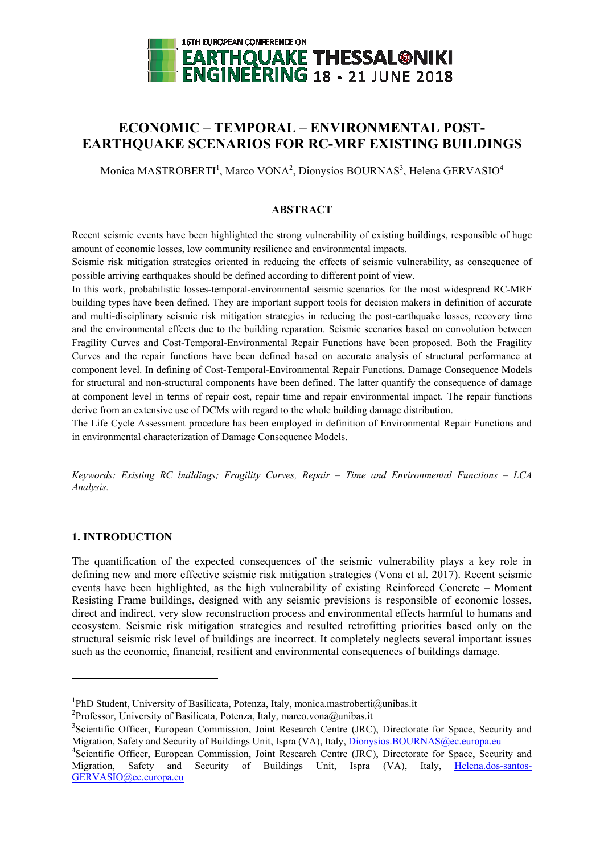

# **ECONOMIC – TEMPORAL – ENVIRONMENTAL POST-EARTHQUAKE SCENARIOS FOR RC-MRF EXISTING BUILDINGS**

Monica MASTROBERTI<sup>1</sup>, Marco VONA<sup>2</sup>, Dionysios BOURNAS<sup>3</sup>, Helena GERVASIO<sup>4</sup>

### **ABSTRACT**

Recent seismic events have been highlighted the strong vulnerability of existing buildings, responsible of huge amount of economic losses, low community resilience and environmental impacts.

Seismic risk mitigation strategies oriented in reducing the effects of seismic vulnerability, as consequence of possible arriving earthquakes should be defined according to different point of view.

In this work, probabilistic losses-temporal-environmental seismic scenarios for the most widespread RC-MRF building types have been defined. They are important support tools for decision makers in definition of accurate and multi-disciplinary seismic risk mitigation strategies in reducing the post-earthquake losses, recovery time and the environmental effects due to the building reparation. Seismic scenarios based on convolution between Fragility Curves and Cost-Temporal-Environmental Repair Functions have been proposed. Both the Fragility Curves and the repair functions have been defined based on accurate analysis of structural performance at component level. In defining of Cost-Temporal-Environmental Repair Functions, Damage Consequence Models for structural and non-structural components have been defined. The latter quantify the consequence of damage at component level in terms of repair cost, repair time and repair environmental impact. The repair functions derive from an extensive use of DCMs with regard to the whole building damage distribution.

The Life Cycle Assessment procedure has been employed in definition of Environmental Repair Functions and in environmental characterization of Damage Consequence Models.

*Keywords: Existing RC buildings; Fragility Curves, Repair – Time and Environmental Functions – LCA Analysis.*

### **1. INTRODUCTION**

1

The quantification of the expected consequences of the seismic vulnerability plays a key role in defining new and more effective seismic risk mitigation strategies (Vona et al. 2017). Recent seismic events have been highlighted, as the high vulnerability of existing Reinforced Concrete – Moment Resisting Frame buildings, designed with any seismic previsions is responsible of economic losses, direct and indirect, very slow reconstruction process and environmental effects harmful to humans and ecosystem. Seismic risk mitigation strategies and resulted retrofitting priorities based only on the structural seismic risk level of buildings are incorrect. It completely neglects several important issues such as the economic, financial, resilient and environmental consequences of buildings damage.

<sup>&</sup>lt;sup>1</sup>PhD Student, University of Basilicata, Potenza, Italy, monica.mastroberti@unibas.it

<sup>&</sup>lt;sup>2</sup>Professor, University of Basilicata, Potenza, Italy, marco.vona@unibas.it

<sup>&</sup>lt;sup>3</sup>Scientific Officer, European Commission, Joint Research Centre (JRC), Directorate for Space, Security and Migration, Safety and Security of Buildings Unit, Ispra (VA), Italy[, Dionysios.BOURNAS@ec.europa.eu](mailto:Dionysios.BOURNAS@ec.europa.eu)

<sup>&</sup>lt;sup>4</sup>Scientific Officer, European Commission, Joint Research Centre (JRC), Directorate for Space, Security and Migration, Safety and Security of Buildings Unit, Ispra (VA), Italy, [Helena.dos-santos-](mailto:Helena.dos-santos-GERVASIO@ec.europa.eu)[GERVASIO@ec.europa.eu](mailto:Helena.dos-santos-GERVASIO@ec.europa.eu)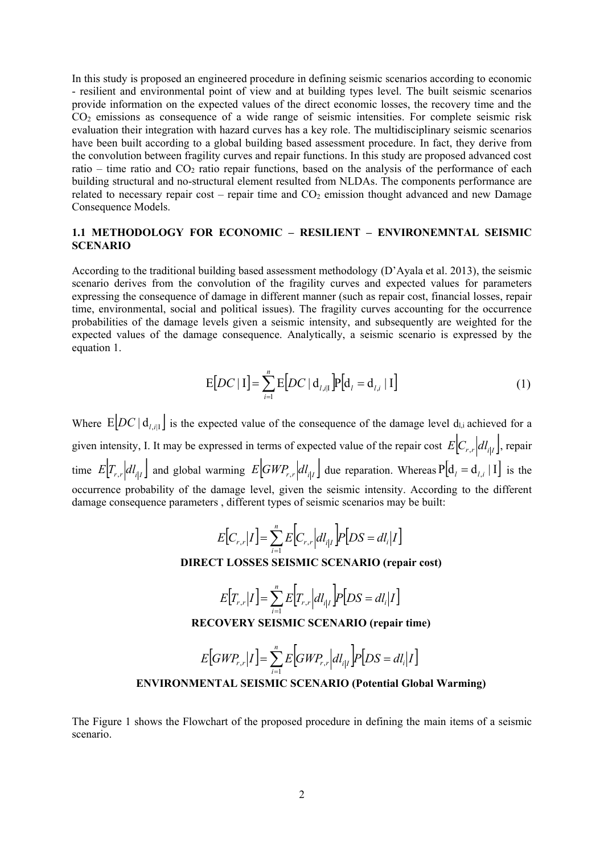In this study is proposed an engineered procedure in defining seismic scenarios according to economic - resilient and environmental point of view and at building types level. The built seismic scenarios provide information on the expected values of the direct economic losses, the recovery time and the CO<sup>2</sup> emissions as consequence of a wide range of seismic intensities. For complete seismic risk evaluation their integration with hazard curves has a key role. The multidisciplinary seismic scenarios have been built according to a global building based assessment procedure. In fact, they derive from the convolution between fragility curves and repair functions. In this study are proposed advanced cost ratio – time ratio and  $CO<sub>2</sub>$  ratio repair functions, based on the analysis of the performance of each building structural and no-structural element resulted from NLDAs. The components performance are related to necessary repair cost – repair time and  $CO<sub>2</sub>$  emission thought advanced and new Damage Consequence Models.

## **1.1 METHODOLOGY FOR ECONOMIC – RESILIENT – ENVIRONEMNTAL SEISMIC SCENARIO**

According to the traditional building based assessment methodology (D'Ayala et al. 2013), the seismic scenario derives from the convolution of the fragility curves and expected values for parameters expressing the consequence of damage in different manner (such as repair cost, financial losses, repair time, environmental, social and political issues). The fragility curves accounting for the occurrence probabilities of the damage levels given a seismic intensity, and subsequently are weighted for the expected values of the damage consequence. Analytically, a seismic scenario is expressed by the equation 1.

$$
E[DC | I] = \sum_{i=1}^{n} E[DC | d_{l,i|I}] P[d_{l} = d_{l,i} | I]
$$
\n(1)

Where  $E[DC | d_{i,i} |]$  is the expected value of the consequence of the damage level d<sub>l,i</sub> achieved for a given intensity, I. It may be expressed in terms of expected value of the repair cost  $E[C_{r,r}|dl_{i|I}]$ , repair time  $E[T_{r,r}|dl_{i|I}]$  and global warming  $E[GWP_{r,r}|dl_{i|I}]$  due reparation. Whereas  $P[d_i = d_{i,i} | I]$  is the occurrence probability of the damage level, given the seismic intensity. According to the different damage consequence parameters , different types of seismic scenarios may be built:

$$
E[C_{r,r}|I] = \sum_{i=1}^{n} E[C_{r,r}|dl_{i|I}] P[DS = dl_{i}|I]
$$

### **DIRECT LOSSES SEISMIC SCENARIO (repair cost)**

$$
E[T_{r,r}|I] = \sum_{i=1}^{n} E[T_{r,r}|dl_{i|I}] P[DS = dl_{i}|I]
$$

**RECOVERY SEISMIC SCENARIO (repair time)**

#### $[GWP_{r,r}|I] = \sum_{i=1}^{N} E[GWP_{r,r}|dl_{i|I}]P[DS = dl_{i}|I]$  $=\sum_{i}E|GWP_{r,r}|dl_{r}$   $|P|DS=$ *n i*  $E\left[ GWP_{r,r}|I\right] = \sum E\left[ GWP_{r,r}|dl_{i|I}\right]P\left[DS=dl_{i}|I\right]$ 1 , ,

# **ENVIRONMENTAL SEISMIC SCENARIO (Potential Global Warming)**

The Figure 1 shows the Flowchart of the proposed procedure in defining the main items of a seismic scenario.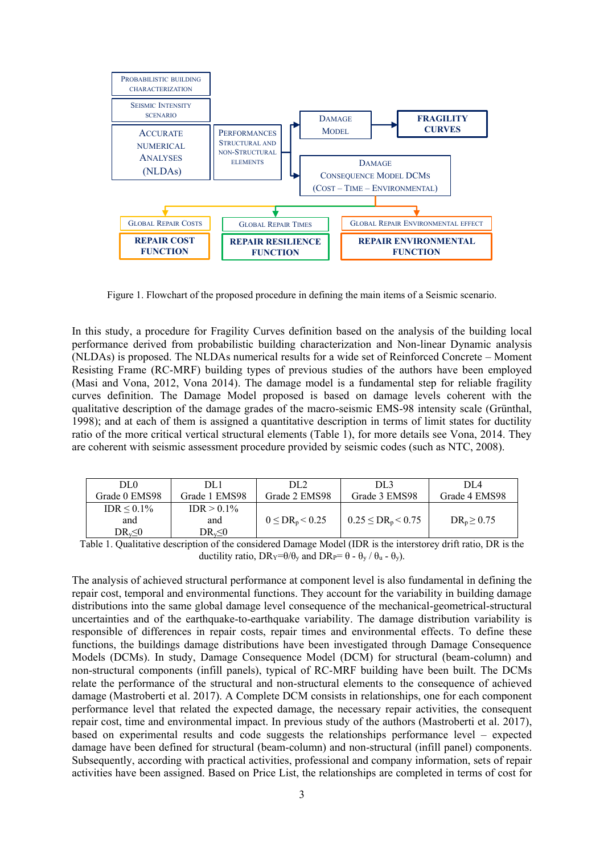

Figure 1. Flowchart of the proposed procedure in defining the main items of a Seismic scenario.

In this study, a procedure for Fragility Curves definition based on the analysis of the building local performance derived from probabilistic building characterization and Non-linear Dynamic analysis (NLDAs) is proposed. The NLDAs numerical results for a wide set of Reinforced Concrete – Moment Resisting Frame (RC-MRF) building types of previous studies of the authors have been employed (Masi and Vona, 2012, Vona 2014). The damage model is a fundamental step for reliable fragility curves definition. The Damage Model proposed is based on damage levels coherent with the qualitative description of the damage grades of the macro-seismic EMS-98 intensity scale (Grünthal, 1998); and at each of them is assigned a quantitative description in terms of limit states for ductility ratio of the more critical vertical structural elements (Table 1), for more details see Vona, 2014. They are coherent with seismic assessment procedure provided by seismic codes (such as NTC, 2008).

| DL <sub>0</sub> | DL1           | DL2.                    | DL3                        | DI 4             |
|-----------------|---------------|-------------------------|----------------------------|------------------|
| Grade 0 EMS98   | Grade 1 EMS98 | Grade 2 EMS98           | Grade 3 EMS98              | Grade 4 EMS98    |
| $IDR < 0.1\%$   | $IDR > 0.1\%$ |                         |                            |                  |
| and             | and           | $0 \leq DR_p \leq 0.25$ | $0.25 \leq DR_p \leq 0.75$ | $DR_p \geq 0.75$ |
| $DR_v \le 0$    | $DR_v \le 0$  |                         |                            |                  |

Table 1. Qualitative description of the considered Damage Model (IDR is the interstorey drift ratio, DR is the ductility ratio,  $DR_Y=θ/θ_y$  and  $DR_P=θ - θ_y / θ_u - θ_y$ ).

The analysis of achieved structural performance at component level is also fundamental in defining the repair cost, temporal and environmental functions. They account for the variability in building damage distributions into the same global damage level consequence of the mechanical-geometrical-structural uncertainties and of the earthquake-to-earthquake variability. The damage distribution variability is responsible of differences in repair costs, repair times and environmental effects. To define these functions, the buildings damage distributions have been investigated through Damage Consequence Models (DCMs). In study, Damage Consequence Model (DCM) for structural (beam-column) and non-structural components (infill panels), typical of RC-MRF building have been built. The DCMs relate the performance of the structural and non-structural elements to the consequence of achieved damage (Mastroberti et al. 2017). A Complete DCM consists in relationships, one for each component performance level that related the expected damage, the necessary repair activities, the consequent repair cost, time and environmental impact. In previous study of the authors (Mastroberti et al. 2017), based on experimental results and code suggests the relationships performance level – expected damage have been defined for structural (beam-column) and non-structural (infill panel) components. Subsequently, according with practical activities, professional and company information, sets of repair activities have been assigned. Based on Price List, the relationships are completed in terms of cost for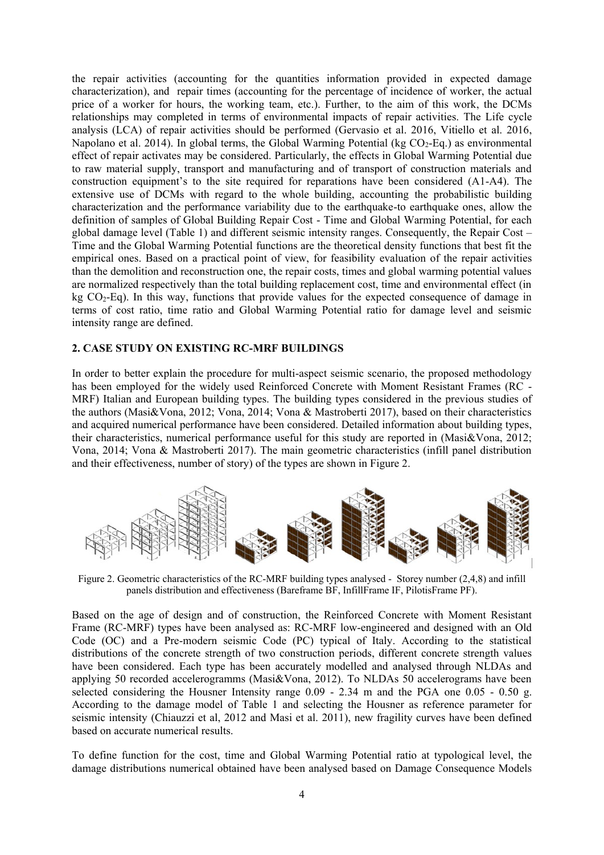the repair activities (accounting for the quantities information provided in expected damage characterization), and repair times (accounting for the percentage of incidence of worker, the actual price of a worker for hours, the working team, etc.). Further, to the aim of this work, the DCMs relationships may completed in terms of environmental impacts of repair activities. The Life cycle analysis (LCA) of repair activities should be performed (Gervasio et al. 2016, Vitiello et al. 2016, Napolano et al. 2014). In global terms, the Global Warming Potential ( $kg CO<sub>2</sub>$ -Eq.) as environmental effect of repair activates may be considered. Particularly, the effects in Global Warming Potential due to raw material supply, transport and manufacturing and of transport of construction materials and construction equipment's to the site required for reparations have been considered (A1-A4). The extensive use of DCMs with regard to the whole building, accounting the probabilistic building characterization and the performance variability due to the earthquake-to earthquake ones, allow the definition of samples of Global Building Repair Cost - Time and Global Warming Potential, for each global damage level (Table 1) and different seismic intensity ranges. Consequently, the Repair Cost – Time and the Global Warming Potential functions are the theoretical density functions that best fit the empirical ones. Based on a practical point of view, for feasibility evaluation of the repair activities than the demolition and reconstruction one, the repair costs, times and global warming potential values are normalized respectively than the total building replacement cost, time and environmental effect (in kg CO2-Eq). In this way, functions that provide values for the expected consequence of damage in terms of cost ratio, time ratio and Global Warming Potential ratio for damage level and seismic intensity range are defined.

### **2. CASE STUDY ON EXISTING RC-MRF BUILDINGS**

In order to better explain the procedure for multi-aspect seismic scenario, the proposed methodology has been employed for the widely used Reinforced Concrete with Moment Resistant Frames (RC - MRF) Italian and European building types. The building types considered in the previous studies of the authors (Masi&Vona, 2012; Vona, 2014; Vona & Mastroberti 2017), based on their characteristics and acquired numerical performance have been considered. Detailed information about building types, their characteristics, numerical performance useful for this study are reported in (Masi&Vona, 2012; Vona, 2014; Vona & Mastroberti 2017). The main geometric characteristics (infill panel distribution and their effectiveness, number of story) of the types are shown in Figure 2.



Figure 2. Geometric characteristics of the RC-MRF building types analysed - Storey number (2,4,8) and infill panels distribution and effectiveness (Bareframe BF, InfillFrame IF, PilotisFrame PF).

Based on the age of design and of construction, the Reinforced Concrete with Moment Resistant Frame (RC-MRF) types have been analysed as: RC-MRF low-engineered and designed with an Old Code (OC) and a Pre-modern seismic Code (PC) typical of Italy. According to the statistical distributions of the concrete strength of two construction periods, different concrete strength values have been considered. Each type has been accurately modelled and analysed through NLDAs and applying 50 recorded accelerogramms (Masi&Vona, 2012). To NLDAs 50 accelerograms have been selected considering the Housner Intensity range 0.09 - 2.34 m and the PGA one 0.05 - 0.50 g. According to the damage model of Table 1 and selecting the Housner as reference parameter for seismic intensity (Chiauzzi et al, 2012 and Masi et al. 2011), new fragility curves have been defined based on accurate numerical results.

To define function for the cost, time and Global Warming Potential ratio at typological level, the damage distributions numerical obtained have been analysed based on Damage Consequence Models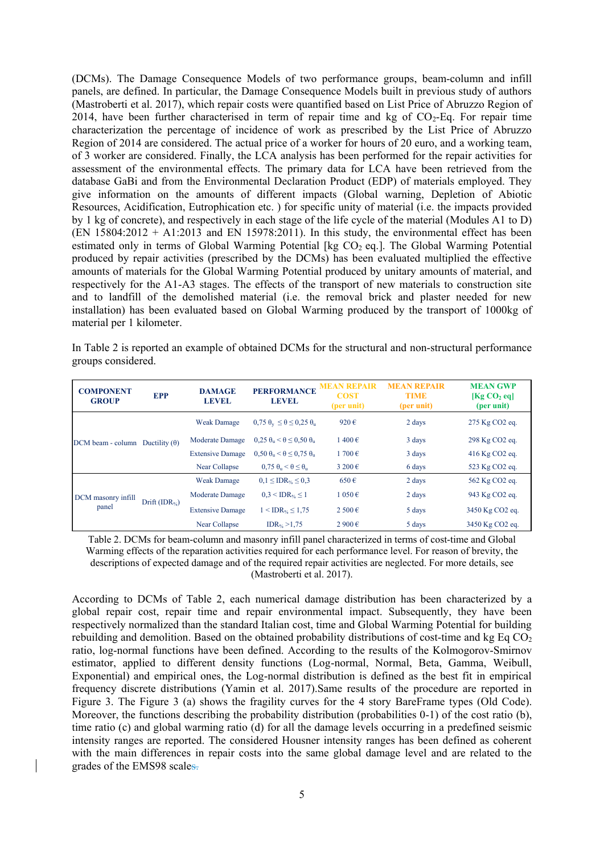(DCMs). The Damage Consequence Models of two performance groups, beam-column and infill panels, are defined. In particular, the Damage Consequence Models built in previous study of authors (Mastroberti et al. 2017), which repair costs were quantified based on List Price of Abruzzo Region of 2014, have been further characterised in term of repair time and kg of  $CO<sub>2</sub>$ -Eq. For repair time characterization the percentage of incidence of work as prescribed by the List Price of Abruzzo Region of 2014 are considered. The actual price of a worker for hours of 20 euro, and a working team, of 3 worker are considered. Finally, the LCA analysis has been performed for the repair activities for assessment of the environmental effects. The primary data for LCA have been retrieved from the database GaBi and from the Environmental Declaration Product (EDP) of materials employed. They give information on the amounts of different impacts (Global warning, Depletion of Abiotic Resources, Acidification, Eutrophication etc. ) for specific unity of material (i.e. the impacts provided by 1 kg of concrete), and respectively in each stage of the life cycle of the material (Modules A1 to D)  $(EN 15804:2012 + A1:2013$  and  $EN 15978:2011)$ . In this study, the environmental effect has been estimated only in terms of Global Warming Potential [kg  $CO<sub>2</sub>$  eq.]. The Global Warming Potential produced by repair activities (prescribed by the DCMs) has been evaluated multiplied the effective amounts of materials for the Global Warming Potential produced by unitary amounts of material, and respectively for the A1-A3 stages. The effects of the transport of new materials to construction site and to landfill of the demolished material (i.e. the removal brick and plaster needed for new installation) has been evaluated based on Global Warming produced by the transport of 1000kg of material per 1 kilometer.

In Table 2 is reported an example of obtained DCMs for the structural and non-structural performance groups considered.

| <b>COMPONENT</b><br><b>GROUP</b> | <b>EPP</b>                | <b>DAMAGE</b><br><b>LEVEL</b> | <b>PERFORMANCE</b><br><b>LEVEL</b>                      | <b>MEAN REPAIR</b><br><b>COST</b><br>(per unit) | <b>MEAN REPAIR</b><br><b>TIME</b><br>(per unit) | <b>MEAN GWP</b><br>[Kg CO <sub>2</sub> eq]<br>(per unit) |
|----------------------------------|---------------------------|-------------------------------|---------------------------------------------------------|-------------------------------------------------|-------------------------------------------------|----------------------------------------------------------|
|                                  | Ductility $(\theta)$      | <b>Weak Damage</b>            | $0.75 \theta_v \le \theta \le 0.25 \theta_u$            | 920€                                            | 2 days                                          | 275 Kg CO <sub>2</sub> eq.                               |
| DCM beam - column                |                           | Moderate Damage               | $0.25 \theta_{\rm n} < \theta \le 0.50 \theta_{\rm n}$  | $1400 \text{ } \in$                             | 3 days                                          | 298 Kg CO <sub>2</sub> eq.                               |
|                                  |                           | <b>Extensive Damage</b>       | $0.50 \theta_{\rm u} < \theta \leq 0.75 \theta_{\rm u}$ | $1700 \text{ } \in$                             | 3 days                                          | 416 Kg CO <sub>2</sub> eq.                               |
|                                  |                           | Near Collapse                 | $0.75 \theta_{\rm u} < \theta \leq \theta_{\rm u}$      | $3200 \text{ } \in$                             | 6 days                                          | 523 Kg CO <sub>2</sub> eq.                               |
|                                  | Drift (IDR <sub>%</sub> ) | <b>Weak Damage</b>            | $0.1 \leq IDR_{\%} \leq 0.3$                            | $650 \text{ } \in$                              | 2 days                                          | 562 Kg CO <sub>2</sub> eq.                               |
| DCM masonry infill               |                           | Moderate Damage               | $0.3 <$ IDR <sub>%</sub> $\leq$ 1                       | $1050 \text{ } \in$                             | 2 days                                          | 943 Kg CO <sub>2</sub> eq.                               |
| panel                            |                           | <b>Extensive Damage</b>       | $1 < IDR$ <sub>%</sub> $\leq 1.75$                      | $2500 \text{ } \in$                             | 5 days                                          | 3450 Kg CO2 eq.                                          |
|                                  |                           | Near Collapse                 | IDR <sub>%</sub> $>1,75$                                | $2900 \text{ } \in$                             | 5 days                                          | 3450 Kg CO2 eq.                                          |

Table 2. DCMs for beam-column and masonry infill panel characterized in terms of cost-time and Global Warming effects of the reparation activities required for each performance level. For reason of brevity, the descriptions of expected damage and of the required repair activities are neglected. For more details, see (Mastroberti et al. 2017).

According to DCMs of Table 2, each numerical damage distribution has been characterized by a global repair cost, repair time and repair environmental impact. Subsequently, they have been respectively normalized than the standard Italian cost, time and Global Warming Potential for building rebuilding and demolition. Based on the obtained probability distributions of cost-time and kg Eq  $CO<sub>2</sub>$ ratio, log-normal functions have been defined. According to the results of the Kolmogorov-Smirnov estimator, applied to different density functions (Log-normal, Normal, Beta, Gamma, Weibull, Exponential) and empirical ones, the Log-normal distribution is defined as the best fit in empirical frequency discrete distributions (Yamin et al. 2017).Same results of the procedure are reported in Figure 3. The Figure 3 (a) shows the fragility curves for the 4 story BareFrame types (Old Code). Moreover, the functions describing the probability distribution (probabilities 0-1) of the cost ratio (b), time ratio (c) and global warming ratio (d) for all the damage levels occurring in a predefined seismic intensity ranges are reported. The considered Housner intensity ranges has been defined as coherent with the main differences in repair costs into the same global damage level and are related to the grades of the EMS98 scales.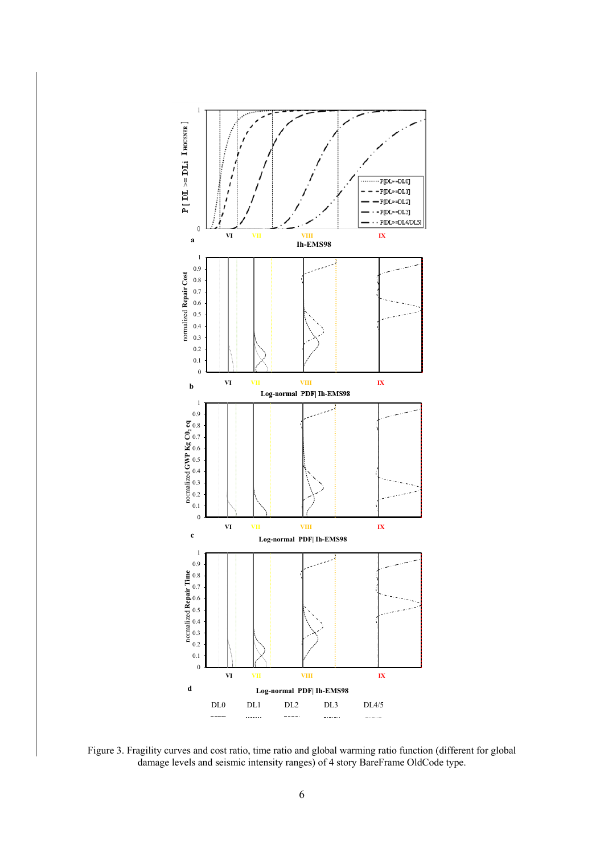

Figure 3. Fragility curves and cost ratio, time ratio and global warming ratio function (different for global damage levels and seismic intensity ranges) of 4 story BareFrame OldCode type.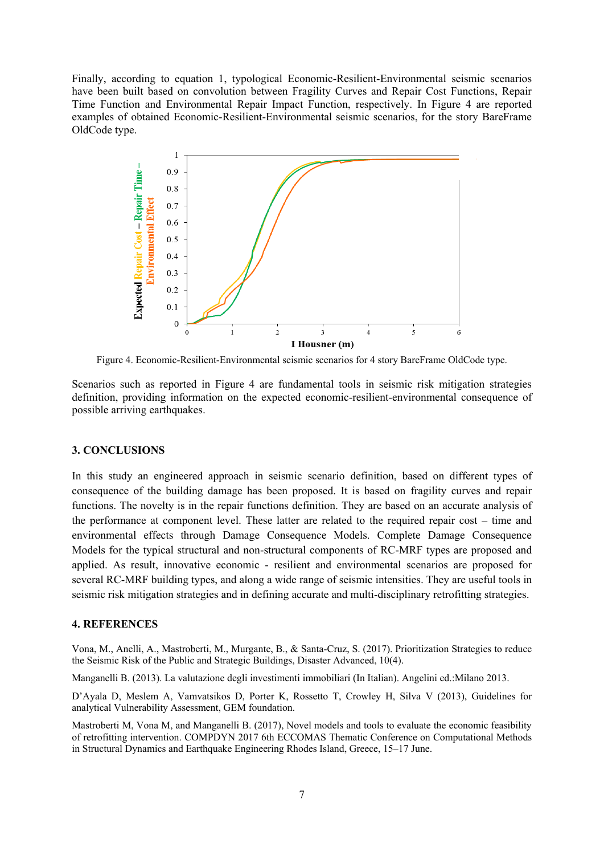Finally, according to equation 1, typological Economic-Resilient-Environmental seismic scenarios have been built based on convolution between Fragility Curves and Repair Cost Functions, Repair Time Function and Environmental Repair Impact Function, respectively. In Figure 4 are reported examples of obtained Economic-Resilient-Environmental seismic scenarios, for the story BareFrame OldCode type.



Figure 4. Economic-Resilient-Environmental seismic scenarios for 4 story BareFrame OldCode type.

Scenarios such as reported in Figure 4 are fundamental tools in seismic risk mitigation strategies definition, providing information on the expected economic-resilient-environmental consequence of possible arriving earthquakes.

### **3. CONCLUSIONS**

In this study an engineered approach in seismic scenario definition, based on different types of consequence of the building damage has been proposed. It is based on fragility curves and repair functions. The novelty is in the repair functions definition. They are based on an accurate analysis of the performance at component level. These latter are related to the required repair cost – time and environmental effects through Damage Consequence Models. Complete Damage Consequence Models for the typical structural and non-structural components of RC-MRF types are proposed and applied. As result, innovative economic - resilient and environmental scenarios are proposed for several RC-MRF building types, and along a wide range of seismic intensities. They are useful tools in seismic risk mitigation strategies and in defining accurate and multi-disciplinary retrofitting strategies.

### **4. REFERENCES**

Vona, M., Anelli, A., Mastroberti, M., Murgante, B., & Santa-Cruz, S. (2017). Prioritization Strategies to reduce the Seismic Risk of the Public and Strategic Buildings, Disaster Advanced, 10(4).

Manganelli B. (2013). La valutazione degli investimenti immobiliari (In Italian). Angelini ed.:Milano 2013.

D'Ayala D, Meslem A, Vamvatsikos D, Porter K, Rossetto T, Crowley H, Silva V (2013), Guidelines for analytical Vulnerability Assessment, GEM foundation.

Mastroberti M, Vona M, and Manganelli B. (2017), Novel models and tools to evaluate the economic feasibility of retrofitting intervention. COMPDYN 2017 6th ECCOMAS Thematic Conference on Computational Methods in Structural Dynamics and Earthquake Engineering Rhodes Island, Greece, 15–17 June.